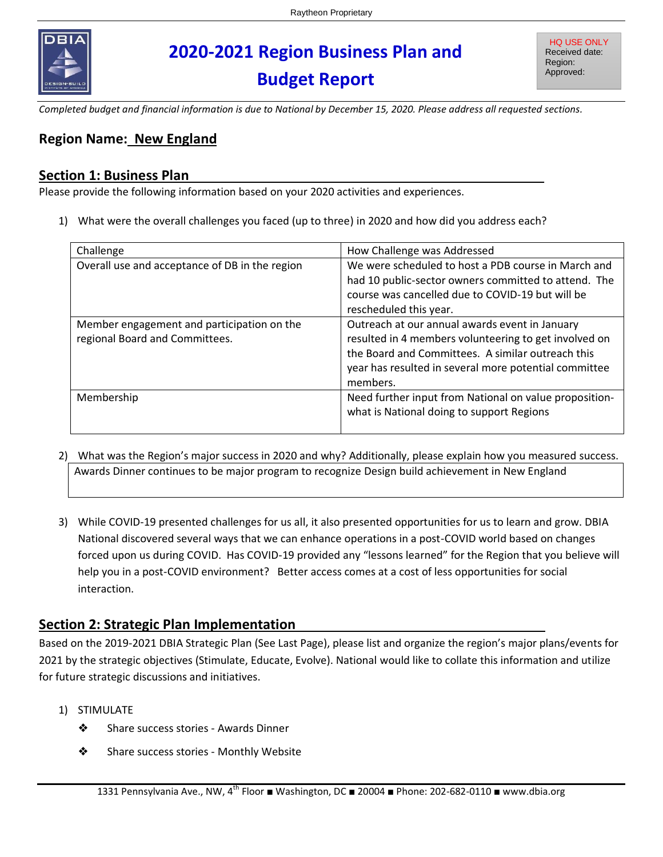

# **2020-2021 Region Business Plan and Budget Report**

*Completed budget and financial information is due to National by December 15, 2020. Please address all requested sections.* 

### **Region Name: New England**

#### **Section 1: Business Plan**\_\_\_\_\_\_\_\_\_\_\_\_\_\_\_\_\_\_\_\_\_\_\_\_\_\_\_\_\_\_\_\_\_\_\_\_\_\_\_\_\_\_\_\_\_\_\_

Please provide the following information based on your 2020 activities and experiences.

1) What were the overall challenges you faced (up to three) in 2020 and how did you address each?

| Challenge                                                                    | How Challenge was Addressed                                                                                                                                                                                                       |
|------------------------------------------------------------------------------|-----------------------------------------------------------------------------------------------------------------------------------------------------------------------------------------------------------------------------------|
| Overall use and acceptance of DB in the region                               | We were scheduled to host a PDB course in March and<br>had 10 public-sector owners committed to attend. The<br>course was cancelled due to COVID-19 but will be                                                                   |
|                                                                              | rescheduled this year.                                                                                                                                                                                                            |
| Member engagement and participation on the<br>regional Board and Committees. | Outreach at our annual awards event in January<br>resulted in 4 members volunteering to get involved on<br>the Board and Committees. A similar outreach this<br>year has resulted in several more potential committee<br>members. |
| Membership                                                                   | Need further input from National on value proposition-<br>what is National doing to support Regions                                                                                                                               |

- 2) What was the Region's major success in 2020 and why? Additionally, please explain how you measured success. Awards Dinner continues to be major program to recognize Design build achievement in New England
- 3) While COVID-19 presented challenges for us all, it also presented opportunities for us to learn and grow. DBIA National discovered several ways that we can enhance operations in a post-COVID world based on changes forced upon us during COVID. Has COVID-19 provided any "lessons learned" for the Region that you believe will help you in a post-COVID environment? Better access comes at a cost of less opportunities for social interaction.

#### **Section 2: Strategic Plan Implementation**\_\_\_\_\_\_\_\_\_\_\_\_\_\_\_\_\_\_\_\_\_\_\_\_\_\_\_\_\_\_\_\_\_

Based on the 2019-2021 DBIA Strategic Plan (See Last Page), please list and organize the region's major plans/events for 2021 by the strategic objectives (Stimulate, Educate, Evolve). National would like to collate this information and utilize for future strategic discussions and initiatives.

- 1) STIMULATE
	- ❖ Share success stories Awards Dinner
	- ❖ Share success stories Monthly Website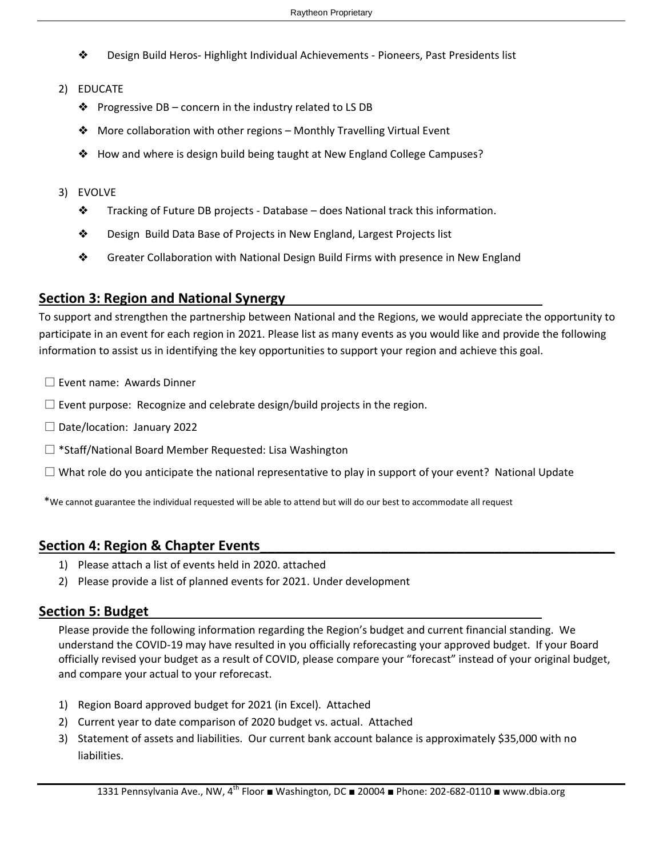- ❖ Design Build Heros- Highlight Individual Achievements Pioneers, Past Presidents list
- 2) EDUCATE
	- ❖ Progressive DB concern in the industry related to LS DB
	- ❖ More collaboration with other regions Monthly Travelling Virtual Event
	- ❖ How and where is design build being taught at New England College Campuses?

#### 3) EVOLVE

- ❖ Tracking of Future DB projects Database does National track this information.
- ❖ Design Build Data Base of Projects in New England, Largest Projects list
- ❖ Greater Collaboration with National Design Build Firms with presence in New England

#### **Section 3: Region and National Synergy**\_\_\_\_\_\_\_\_\_\_\_\_\_\_\_\_\_\_\_\_\_\_\_\_\_\_\_\_\_\_\_\_\_\_

To support and strengthen the partnership between National and the Regions, we would appreciate the opportunity to participate in an event for each region in 2021. Please list as many events as you would like and provide the following information to assist us in identifying the key opportunities to support your region and achieve this goal.

- $\square$  Event name: Awards Dinner
- $\Box$  Event purpose: Recognize and celebrate design/build projects in the region.
- Date/location: January 2022
- \*Staff/National Board Member Requested: Lisa Washington
- $\Box$  What role do you anticipate the national representative to play in support of your event? National Update

\*We cannot guarantee the individual requested will be able to attend but will do our best to accommodate all request

#### **Section 4: Region & Chapter Events**\_\_\_\_\_\_\_\_\_\_\_\_\_\_\_\_\_\_\_\_\_\_\_\_\_\_\_\_\_\_\_\_\_\_\_\_\_\_\_\_\_\_\_\_\_\_\_

- 1) Please attach a list of events held in 2020. attached
- 2) Please provide a list of planned events for 2021. Under development

#### **Section 5: Budget**\_\_\_\_\_\_\_\_\_\_\_\_\_\_\_\_\_\_\_\_\_\_\_\_\_\_\_\_\_\_\_\_\_\_\_\_\_\_\_\_\_\_\_\_\_\_\_\_\_\_\_\_

Please provide the following information regarding the Region's budget and current financial standing. We understand the COVID-19 may have resulted in you officially reforecasting your approved budget. If your Board officially revised your budget as a result of COVID, please compare your "forecast" instead of your original budget, and compare your actual to your reforecast.

- 1) Region Board approved budget for 2021 (in Excel). Attached
- 2) Current year to date comparison of 2020 budget vs. actual. Attached
- 3) Statement of assets and liabilities. Our current bank account balance is approximately \$35,000 with no liabilities.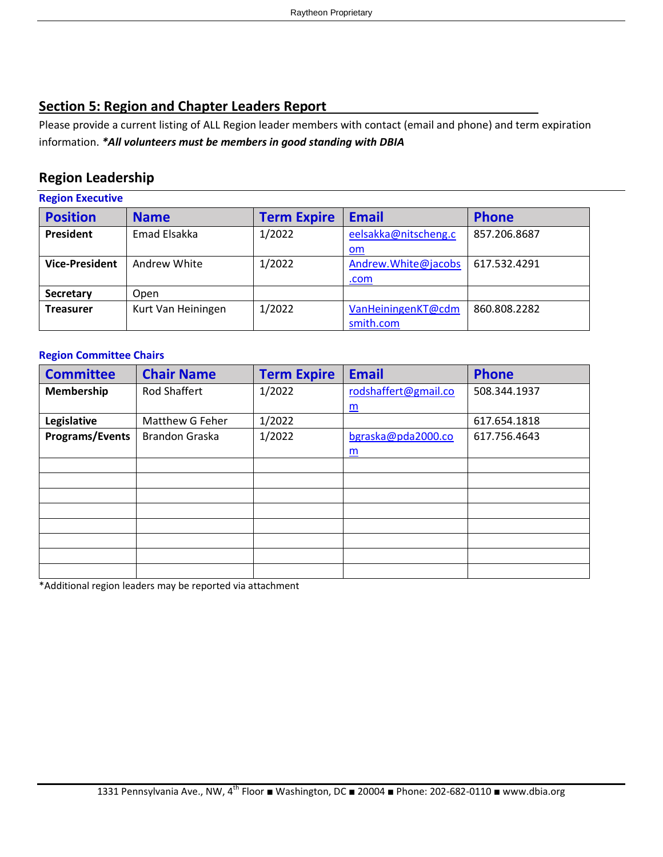#### **Section 5: Region and Chapter Leaders Report**\_\_\_\_\_\_\_\_\_\_\_\_\_\_\_\_\_\_\_\_\_\_\_\_\_\_\_\_

Please provide a current listing of ALL Region leader members with contact (email and phone) and term expiration information. *\*All volunteers must be members in good standing with DBIA*

#### **Region Leadership**

| <b>Region Executive</b> |                    |                    |                      |              |  |  |  |
|-------------------------|--------------------|--------------------|----------------------|--------------|--|--|--|
| <b>Position</b>         | <b>Name</b>        | <b>Term Expire</b> | <b>Email</b>         | <b>Phone</b> |  |  |  |
| <b>President</b>        | Emad Elsakka       | 1/2022             | eelsakka@nitscheng.c | 857.206.8687 |  |  |  |
|                         |                    |                    | om                   |              |  |  |  |
| <b>Vice-President</b>   | Andrew White       | 1/2022             | Andrew.White@jacobs  | 617.532.4291 |  |  |  |
|                         |                    |                    | .com                 |              |  |  |  |
| <b>Secretary</b>        | Open               |                    |                      |              |  |  |  |
| <b>Treasurer</b>        | Kurt Van Heiningen | 1/2022             | VanHeiningenKT@cdm   | 860.808.2282 |  |  |  |
|                         |                    |                    | smith.com            |              |  |  |  |

#### **Region Committee Chairs**

| <b>Committee</b> | <b>Chair Name</b>     | <b>Term Expire</b> | <b>Email</b>         | <b>Phone</b> |
|------------------|-----------------------|--------------------|----------------------|--------------|
| Membership       | <b>Rod Shaffert</b>   | 1/2022             | rodshaffert@gmail.co | 508.344.1937 |
|                  |                       |                    | $\underline{m}$      |              |
| Legislative      | Matthew G Feher       | 1/2022             |                      | 617.654.1818 |
| Programs/Events  | <b>Brandon Graska</b> | 1/2022             | bgraska@pda2000.co   | 617.756.4643 |
|                  |                       |                    | $\underline{m}$      |              |
|                  |                       |                    |                      |              |
|                  |                       |                    |                      |              |
|                  |                       |                    |                      |              |
|                  |                       |                    |                      |              |
|                  |                       |                    |                      |              |
|                  |                       |                    |                      |              |
|                  |                       |                    |                      |              |
|                  |                       |                    |                      |              |

\*Additional region leaders may be reported via attachment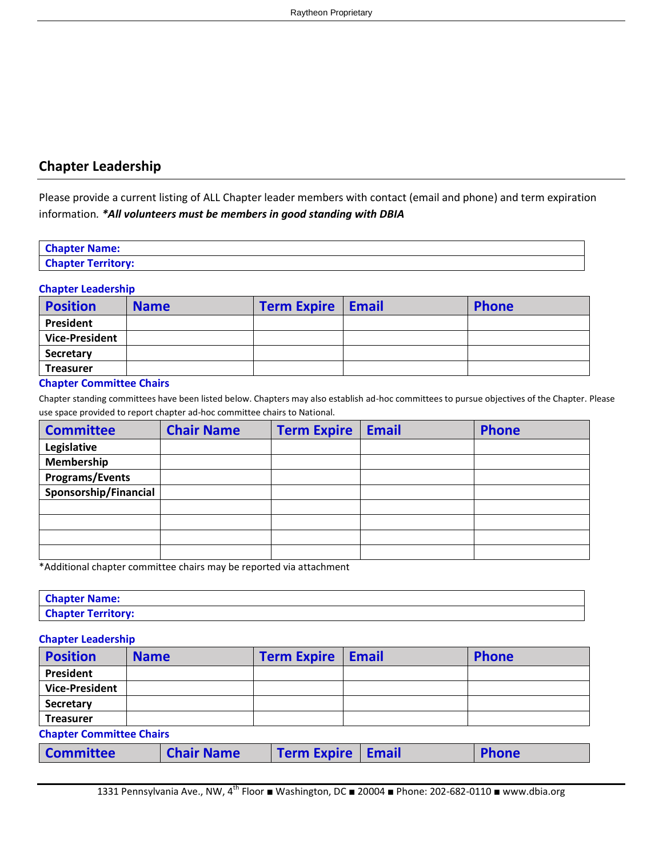#### **Chapter Leadership**

Please provide a current listing of ALL Chapter leader members with contact (email and phone) and term expiration information*. \*All volunteers must be members in good standing with DBIA*

| <b>Chapter Name:</b>      |  |
|---------------------------|--|
| <b>Chapter Territory:</b> |  |

#### **Chapter Leadership**

| <b>Position</b>       | <b>Name</b> | <b>Term Expire   Email</b> | <b>Phone</b> |
|-----------------------|-------------|----------------------------|--------------|
| President             |             |                            |              |
| <b>Vice-President</b> |             |                            |              |
| Secretary             |             |                            |              |
| <b>Treasurer</b>      |             |                            |              |

#### **Chapter Committee Chairs**

Chapter standing committees have been listed below. Chapters may also establish ad-hoc committees to pursue objectives of the Chapter. Please use space provided to report chapter ad-hoc committee chairs to National.

| <b>Committee</b>       | <b>Chair Name</b> | <b>Term Expire</b> | <b>Email</b> | <b>Phone</b> |
|------------------------|-------------------|--------------------|--------------|--------------|
| Legislative            |                   |                    |              |              |
| Membership             |                   |                    |              |              |
| <b>Programs/Events</b> |                   |                    |              |              |
| Sponsorship/Financial  |                   |                    |              |              |
|                        |                   |                    |              |              |
|                        |                   |                    |              |              |
|                        |                   |                    |              |              |
|                        |                   |                    |              |              |

\*Additional chapter committee chairs may be reported via attachment

| <b>Chapter Name:</b>      |  |
|---------------------------|--|
| <b>Chapter Territory:</b> |  |

**Chapter Leadership**

| <b>Position</b>                 | <b>Name</b> |                   |  | <b>Term Expire</b> |  | <b>Email</b> | <b>Phone</b> |
|---------------------------------|-------------|-------------------|--|--------------------|--|--------------|--------------|
| <b>President</b>                |             |                   |  |                    |  |              |              |
| <b>Vice-President</b>           |             |                   |  |                    |  |              |              |
| Secretary                       |             |                   |  |                    |  |              |              |
| <b>Treasurer</b>                |             |                   |  |                    |  |              |              |
| <b>Chapter Committee Chairs</b> |             |                   |  |                    |  |              |              |
| <b>Committee</b>                |             | <b>Chair Name</b> |  | <b>Term Expire</b> |  | <b>Email</b> | <b>Phone</b> |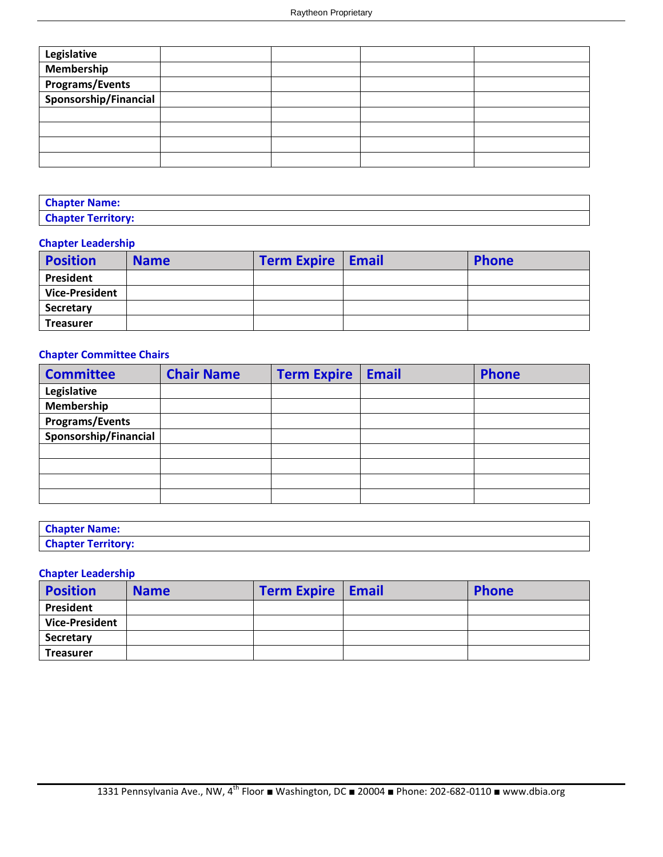| Legislative            |  |  |
|------------------------|--|--|
| Membership             |  |  |
| <b>Programs/Events</b> |  |  |
| Sponsorship/Financial  |  |  |
|                        |  |  |
|                        |  |  |
|                        |  |  |
|                        |  |  |

| <b>Chapter Name:</b>      |  |
|---------------------------|--|
| <b>Chapter Territory:</b> |  |

#### **Chapter Leadership**

| <b>Position</b>       | <b>Name</b> | <b>Term Expire   Email</b> | <b>Phone</b> |
|-----------------------|-------------|----------------------------|--------------|
| President             |             |                            |              |
| <b>Vice-President</b> |             |                            |              |
| Secretary             |             |                            |              |
| <b>Treasurer</b>      |             |                            |              |

#### **Chapter Committee Chairs**

| <b>Committee</b>       | <b>Chair Name</b> | <b>Term Expire</b> | <b>Email</b> | <b>Phone</b> |
|------------------------|-------------------|--------------------|--------------|--------------|
| Legislative            |                   |                    |              |              |
| Membership             |                   |                    |              |              |
| <b>Programs/Events</b> |                   |                    |              |              |
| Sponsorship/Financial  |                   |                    |              |              |
|                        |                   |                    |              |              |
|                        |                   |                    |              |              |
|                        |                   |                    |              |              |
|                        |                   |                    |              |              |

| <b>Chapter Name:</b>      |  |
|---------------------------|--|
| <b>Chapter Territory:</b> |  |

#### **Chapter Leadership**

| <b>Position</b>       | <b>Name</b> | <b>Term Expire   Email</b> | <b>Phone</b> |
|-----------------------|-------------|----------------------------|--------------|
| President             |             |                            |              |
| <b>Vice-President</b> |             |                            |              |
| <b>Secretary</b>      |             |                            |              |
| <b>Treasurer</b>      |             |                            |              |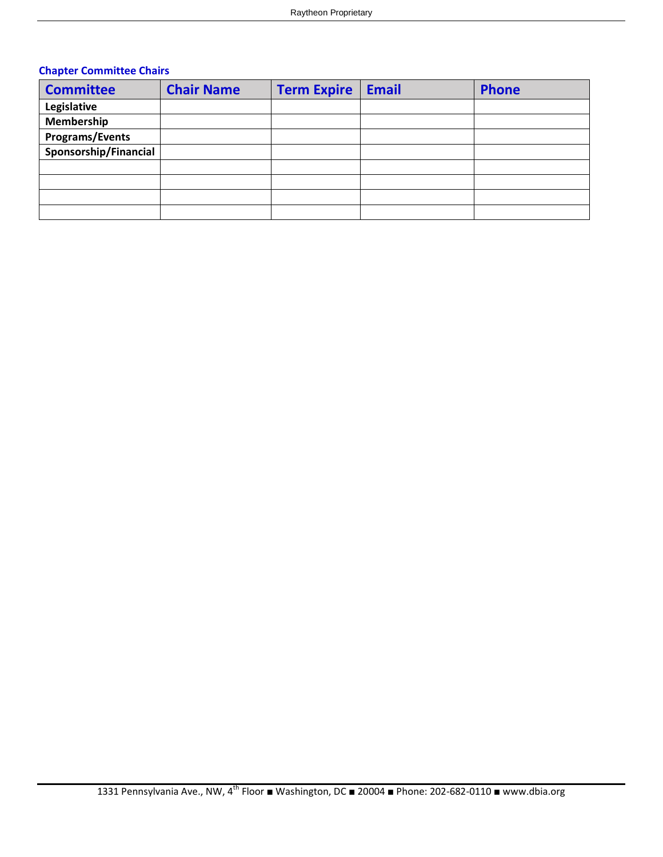#### **Chapter Committee Chairs**

| <b>Committee</b>       | <b>Chair Name</b> | <b>Term Expire</b> | <b>Email</b> | <b>Phone</b> |
|------------------------|-------------------|--------------------|--------------|--------------|
| Legislative            |                   |                    |              |              |
| Membership             |                   |                    |              |              |
| <b>Programs/Events</b> |                   |                    |              |              |
| Sponsorship/Financial  |                   |                    |              |              |
|                        |                   |                    |              |              |
|                        |                   |                    |              |              |
|                        |                   |                    |              |              |
|                        |                   |                    |              |              |